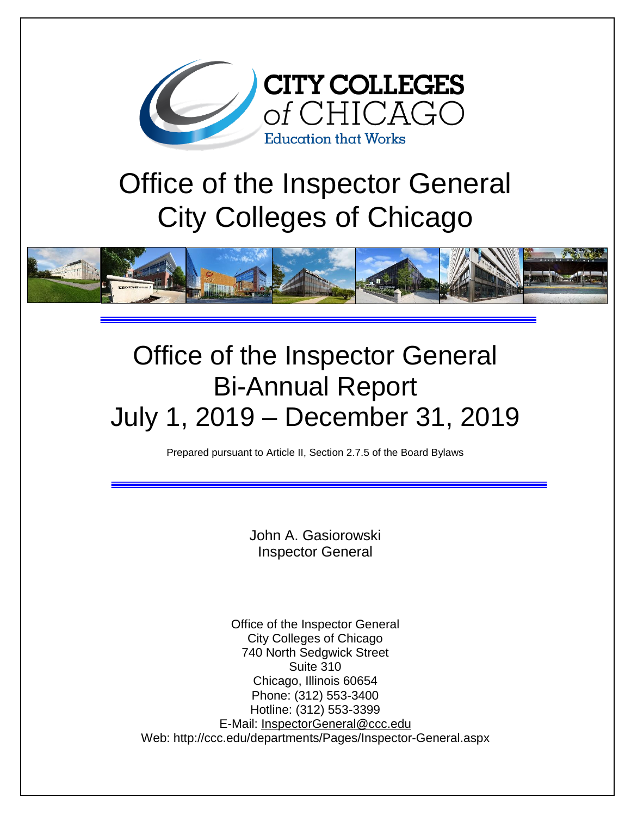

# Office of the Inspector General City Colleges of Chicago



# Office of the Inspector General Bi-Annual Report July 1, 2019 – December 31, 2019

Prepared pursuant to Article II, Section 2.7.5 of the Board Bylaws

John A. Gasiorowski Inspector General

Office of the Inspector General City Colleges of Chicago 740 North Sedgwick Street Suite 310 Chicago, Illinois 60654 Phone: (312) 553-3400 Hotline: (312) 553-3399 E-Mail: [InspectorGeneral@ccc.edu](mailto:InspectorGeneral@ccc.edu) Web: http://ccc.edu/departments/Pages/Inspector-General.aspx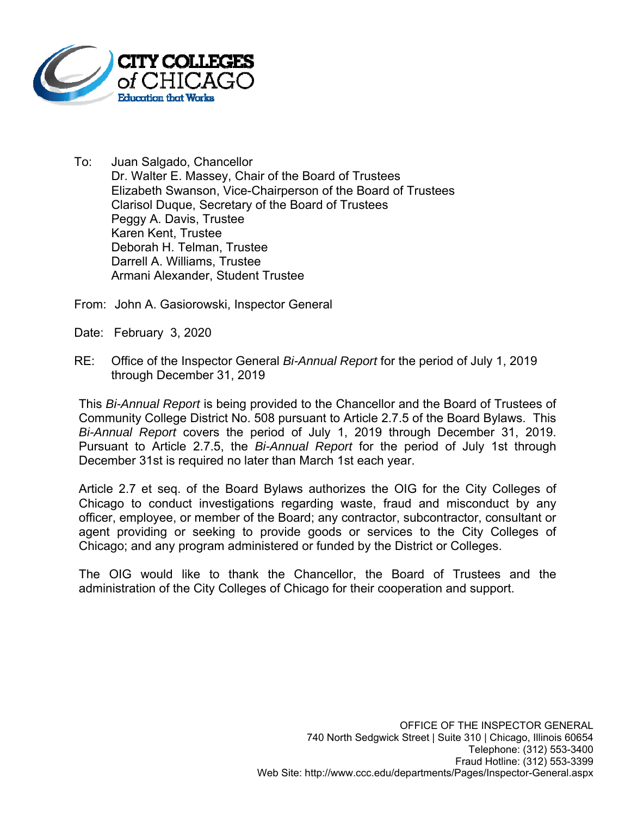

To: Juan Salgado, Chancellor Dr. Walter E. Massey, Chair of the Board of Trustees Elizabeth Swanson, Vice-Chairperson of the Board of Trustees Clarisol Duque, Secretary of the Board of Trustees Peggy A. Davis, Trustee Karen Kent, Trustee Deborah H. Telman, Trustee Darrell A. Williams, Trustee Armani Alexander, Student Trustee

From: John A. Gasiorowski, Inspector General

Date: February 3, 2020

RE: Office of the Inspector General *Bi-Annual Report* for the period of July 1, 2019 through December 31, 2019

This *Bi-Annual Report* is being provided to the Chancellor and the Board of Trustees of Community College District No. 508 pursuant to Article 2.7.5 of the Board Bylaws. This *Bi-Annual Report* covers the period of July 1, 2019 through December 31, 2019. Pursuant to Article 2.7.5, the *Bi-Annual Report* for the period of July 1st through December 31st is required no later than March 1st each year.

Article 2.7 et seq. of the Board Bylaws authorizes the OIG for the City Colleges of Chicago to conduct investigations regarding waste, fraud and misconduct by any officer, employee, or member of the Board; any contractor, subcontractor, consultant or agent providing or seeking to provide goods or services to the City Colleges of Chicago; and any program administered or funded by the District or Colleges.

The OIG would like to thank the Chancellor, the Board of Trustees and the administration of the City Colleges of Chicago for their cooperation and support.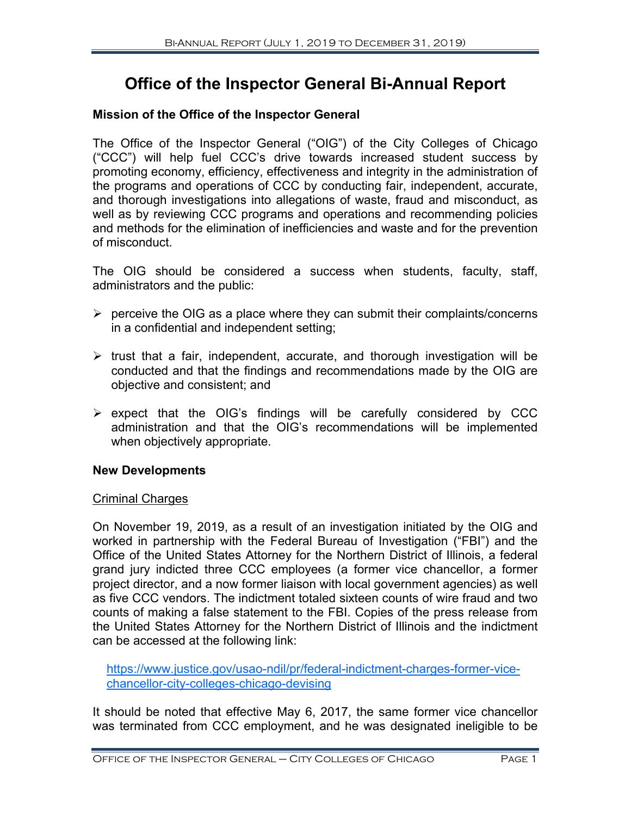# **Office of the Inspector General Bi-Annual Report**

# **Mission of the Office of the Inspector General**

The Office of the Inspector General ("OIG") of the City Colleges of Chicago ("CCC") will help fuel CCC's drive towards increased student success by promoting economy, efficiency, effectiveness and integrity in the administration of the programs and operations of CCC by conducting fair, independent, accurate, and thorough investigations into allegations of waste, fraud and misconduct, as well as by reviewing CCC programs and operations and recommending policies and methods for the elimination of inefficiencies and waste and for the prevention of misconduct.

The OIG should be considered a success when students, faculty, staff, administrators and the public:

- $\triangleright$  perceive the OIG as a place where they can submit their complaints/concerns in a confidential and independent setting;
- $\triangleright$  trust that a fair, independent, accurate, and thorough investigation will be conducted and that the findings and recommendations made by the OIG are objective and consistent; and
- $\triangleright$  expect that the OIG's findings will be carefully considered by CCC administration and that the OIG's recommendations will be implemented when objectively appropriate.

# **New Developments**

# Criminal Charges

On November 19, 2019, as a result of an investigation initiated by the OIG and worked in partnership with the Federal Bureau of Investigation ("FBI") and the Office of the United States Attorney for the Northern District of Illinois, a federal grand jury indicted three CCC employees (a former vice chancellor, a former project director, and a now former liaison with local government agencies) as well as five CCC vendors. The indictment totaled sixteen counts of wire fraud and two counts of making a false statement to the FBI. Copies of the press release from the United States Attorney for the Northern District of Illinois and the indictment can be accessed at the following link:

https://www.justice.gov/usao-ndil/pr/federal-indictment-charges-former-vicechancellor-city-colleges-chicago-devising

It should be noted that effective May 6, 2017, the same former vice chancellor was terminated from CCC employment, and he was designated ineligible to be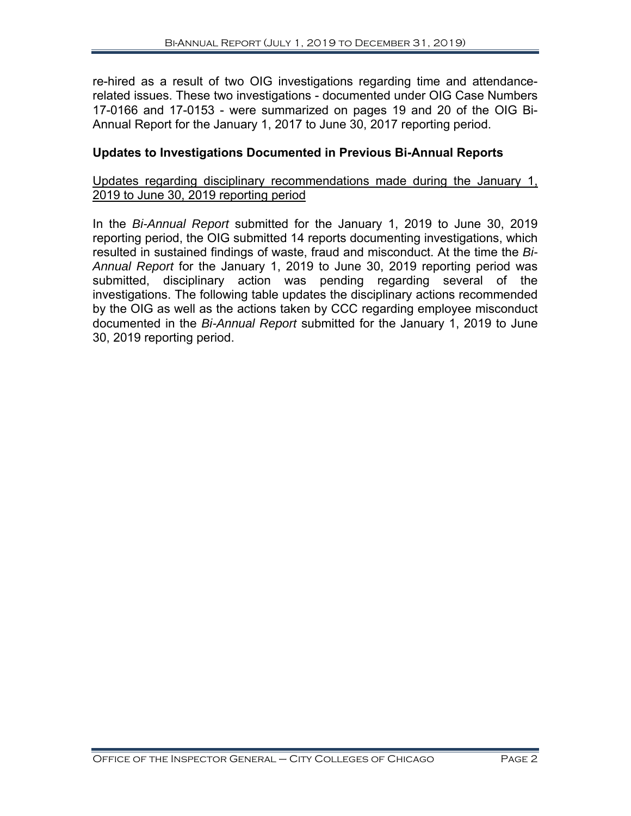re-hired as a result of two OIG investigations regarding time and attendancerelated issues. These two investigations - documented under OIG Case Numbers 17-0166 and 17-0153 - were summarized on pages 19 and 20 of the OIG Bi-Annual Report for the January 1, 2017 to June 30, 2017 reporting period.

# **Updates to Investigations Documented in Previous Bi-Annual Reports**

#### Updates regarding disciplinary recommendations made during the January 1, 2019 to June 30, 2019 reporting period

In the *Bi-Annual Report* submitted for the January 1, 2019 to June 30, 2019 reporting period, the OIG submitted 14 reports documenting investigations, which resulted in sustained findings of waste, fraud and misconduct. At the time the *Bi-Annual Report* for the January 1, 2019 to June 30, 2019 reporting period was submitted, disciplinary action was pending regarding several of the investigations. The following table updates the disciplinary actions recommended by the OIG as well as the actions taken by CCC regarding employee misconduct documented in the *Bi-Annual Report* submitted for the January 1, 2019 to June 30, 2019 reporting period.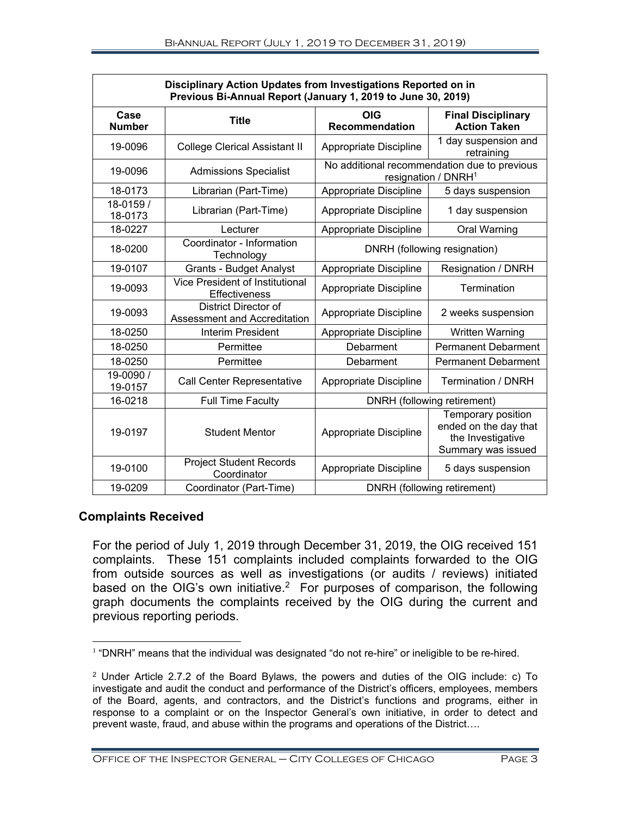| Disciplinary Action Updates from Investigations Reported on in<br>Previous Bi-Annual Report (January 1, 2019 to June 30, 2019) |                                                             |                                                                                                                  |                                                                                 |  |  |
|--------------------------------------------------------------------------------------------------------------------------------|-------------------------------------------------------------|------------------------------------------------------------------------------------------------------------------|---------------------------------------------------------------------------------|--|--|
| Case<br><b>Number</b>                                                                                                          | <b>Title</b>                                                | <b>OIG</b><br><b>Recommendation</b>                                                                              | <b>Final Disciplinary</b><br><b>Action Taken</b>                                |  |  |
| 19-0096                                                                                                                        | <b>College Clerical Assistant II</b>                        | Appropriate Discipline                                                                                           | 1 day suspension and<br>retraining                                              |  |  |
| 19-0096                                                                                                                        | <b>Admissions Specialist</b>                                |                                                                                                                  | No additional recommendation due to previous<br>resignation / DNRH <sup>1</sup> |  |  |
| 18-0173                                                                                                                        | Librarian (Part-Time)                                       | Appropriate Discipline                                                                                           | 5 days suspension                                                               |  |  |
| 18-0159 /<br>18-0173                                                                                                           | Librarian (Part-Time)                                       | Appropriate Discipline                                                                                           | 1 day suspension                                                                |  |  |
| 18-0227                                                                                                                        | Lecturer                                                    | Appropriate Discipline                                                                                           | Oral Warning                                                                    |  |  |
| 18-0200                                                                                                                        | Coordinator - Information<br>Technology                     | DNRH (following resignation)                                                                                     |                                                                                 |  |  |
| 19-0107                                                                                                                        | <b>Grants - Budget Analyst</b>                              | Appropriate Discipline                                                                                           | Resignation / DNRH                                                              |  |  |
| 19-0093                                                                                                                        | Vice President of Institutional<br><b>Effectiveness</b>     | Appropriate Discipline                                                                                           | Termination                                                                     |  |  |
| 19-0093                                                                                                                        | <b>District Director of</b><br>Assessment and Accreditation | Appropriate Discipline                                                                                           | 2 weeks suspension                                                              |  |  |
| 18-0250                                                                                                                        | <b>Interim President</b>                                    | Appropriate Discipline                                                                                           | Written Warning                                                                 |  |  |
| 18-0250                                                                                                                        | Permittee                                                   | Debarment                                                                                                        | <b>Permanent Debarment</b>                                                      |  |  |
| 18-0250                                                                                                                        | Permittee                                                   | Debarment                                                                                                        | <b>Permanent Debarment</b>                                                      |  |  |
| 19-0090 /<br>19-0157                                                                                                           | <b>Call Center Representative</b>                           | Appropriate Discipline                                                                                           | <b>Termination / DNRH</b>                                                       |  |  |
| 16-0218                                                                                                                        | <b>Full Time Faculty</b>                                    | DNRH (following retirement)                                                                                      |                                                                                 |  |  |
| 19-0197                                                                                                                        | <b>Student Mentor</b>                                       | Temporary position<br>ended on the day that<br>Appropriate Discipline<br>the Investigative<br>Summary was issued |                                                                                 |  |  |
| 19-0100                                                                                                                        | <b>Project Student Records</b><br>Coordinator               | Appropriate Discipline<br>5 days suspension                                                                      |                                                                                 |  |  |
| 19-0209                                                                                                                        | Coordinator (Part-Time)                                     | DNRH (following retirement)                                                                                      |                                                                                 |  |  |

# **Complaints Received**

For the period of July 1, 2019 through December 31, 2019, the OIG received 151 complaints. These 151 complaints included complaints forwarded to the OIG from outside sources as well as investigations (or audits / reviews) initiated based on the OIG's own initiative.<sup>2</sup> For purposes of comparison, the following graph documents the complaints received by the OIG during the current and previous reporting periods.

<sup>1</sup>  $<sup>1</sup>$  "DNRH" means that the individual was designated "do not re-hire" or ineligible to be re-hired.</sup>

<sup>2</sup> Under Article 2.7.2 of the Board Bylaws, the powers and duties of the OIG include: c) To investigate and audit the conduct and performance of the District's officers, employees, members of the Board, agents, and contractors, and the District's functions and programs, either in response to a complaint or on the Inspector General's own initiative, in order to detect and prevent waste, fraud, and abuse within the programs and operations of the District….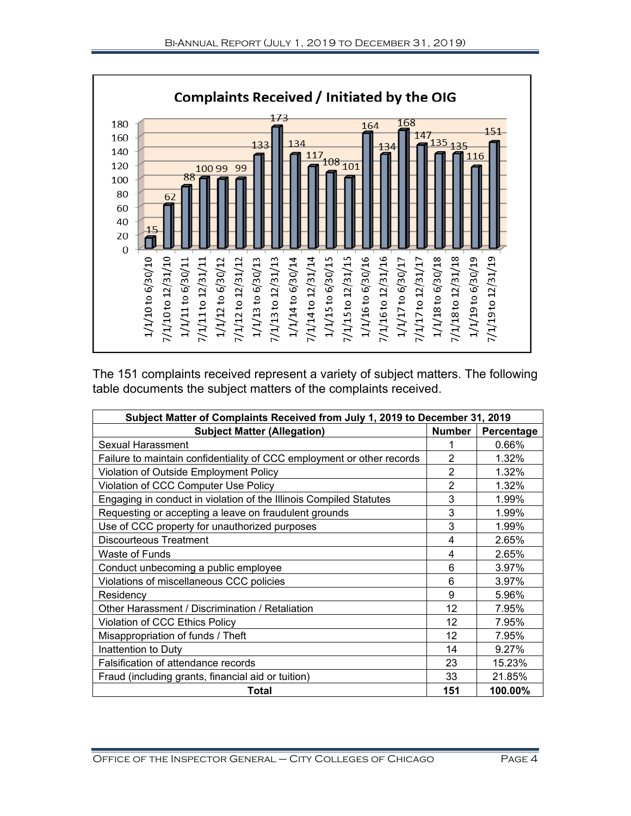

The 151 complaints received represent a variety of subject matters. The following table documents the subject matters of the complaints received.

| Subject Matter of Complaints Received from July 1, 2019 to December 31, 2019 |                |            |  |  |
|------------------------------------------------------------------------------|----------------|------------|--|--|
| <b>Subject Matter (Allegation)</b>                                           | <b>Number</b>  | Percentage |  |  |
| Sexual Harassment                                                            |                | 0.66%      |  |  |
| Failure to maintain confidentiality of CCC employment or other records       | $\overline{2}$ | 1.32%      |  |  |
| Violation of Outside Employment Policy                                       | $\overline{2}$ | 1.32%      |  |  |
| Violation of CCC Computer Use Policy                                         | $\overline{2}$ | 1.32%      |  |  |
| Engaging in conduct in violation of the Illinois Compiled Statutes           | 3              | 1.99%      |  |  |
| Requesting or accepting a leave on fraudulent grounds                        | 3              | 1.99%      |  |  |
| Use of CCC property for unauthorized purposes                                | 3              | 1.99%      |  |  |
| <b>Discourteous Treatment</b>                                                | 4              | 2.65%      |  |  |
| Waste of Funds                                                               | 4              | 2.65%      |  |  |
| Conduct unbecoming a public employee                                         | 6              | 3.97%      |  |  |
| Violations of miscellaneous CCC policies                                     | 6              | 3.97%      |  |  |
| Residency                                                                    | 9              | 5.96%      |  |  |
| Other Harassment / Discrimination / Retaliation                              | 12             | 7.95%      |  |  |
| Violation of CCC Ethics Policy                                               | 12             | 7.95%      |  |  |
| Misappropriation of funds / Theft                                            | 12             | 7.95%      |  |  |
| Inattention to Duty                                                          | 14             | 9.27%      |  |  |
| Falsification of attendance records                                          | 23             | 15.23%     |  |  |
| Fraud (including grants, financial aid or tuition)                           | 33             | 21.85%     |  |  |
| Total                                                                        | 151            | 100.00%    |  |  |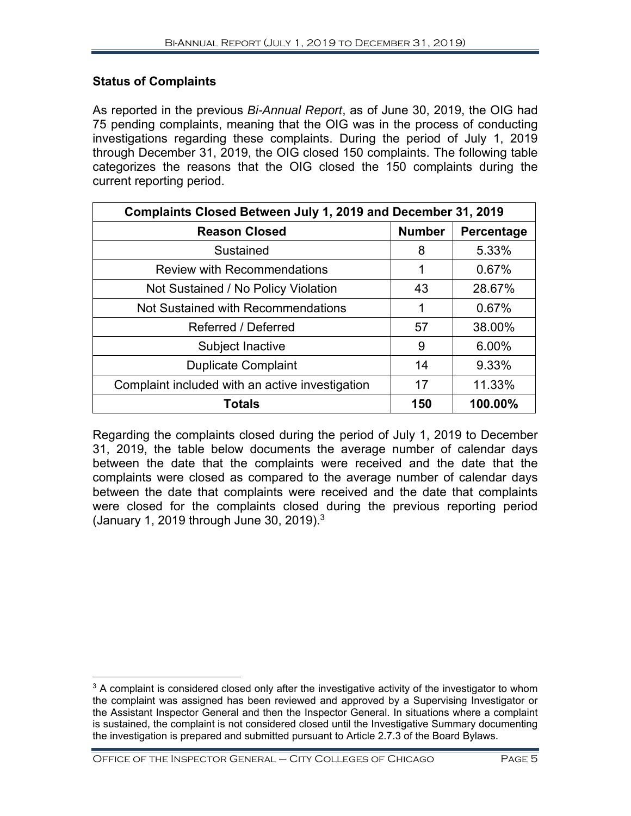# **Status of Complaints**

As reported in the previous *Bi-Annual Report*, as of June 30, 2019, the OIG had 75 pending complaints, meaning that the OIG was in the process of conducting investigations regarding these complaints. During the period of July 1, 2019 through December 31, 2019, the OIG closed 150 complaints. The following table categorizes the reasons that the OIG closed the 150 complaints during the current reporting period.

| Complaints Closed Between July 1, 2019 and December 31, 2019 |               |            |  |  |
|--------------------------------------------------------------|---------------|------------|--|--|
| <b>Reason Closed</b>                                         | <b>Number</b> | Percentage |  |  |
| Sustained                                                    | 8             | 5.33%      |  |  |
| <b>Review with Recommendations</b>                           | 1             | 0.67%      |  |  |
| Not Sustained / No Policy Violation                          | 43            | 28.67%     |  |  |
| Not Sustained with Recommendations                           |               | 0.67%      |  |  |
| Referred / Deferred                                          | 57            | 38.00%     |  |  |
| Subject Inactive                                             | 9             | 6.00%      |  |  |
| <b>Duplicate Complaint</b>                                   | 14            | 9.33%      |  |  |
| Complaint included with an active investigation              | 17            | 11.33%     |  |  |
| <b>Totals</b>                                                | 150           | 100.00%    |  |  |

Regarding the complaints closed during the period of July 1, 2019 to December 31, 2019, the table below documents the average number of calendar days between the date that the complaints were received and the date that the complaints were closed as compared to the average number of calendar days between the date that complaints were received and the date that complaints were closed for the complaints closed during the previous reporting period (January 1, 2019 through June 30, 2019). $3$ 

Office of the Inspector General – City Colleges of Chicago Page 5

 $\overline{a}$  $3$  A complaint is considered closed only after the investigative activity of the investigator to whom the complaint was assigned has been reviewed and approved by a Supervising Investigator or the Assistant Inspector General and then the Inspector General. In situations where a complaint is sustained, the complaint is not considered closed until the Investigative Summary documenting the investigation is prepared and submitted pursuant to Article 2.7.3 of the Board Bylaws.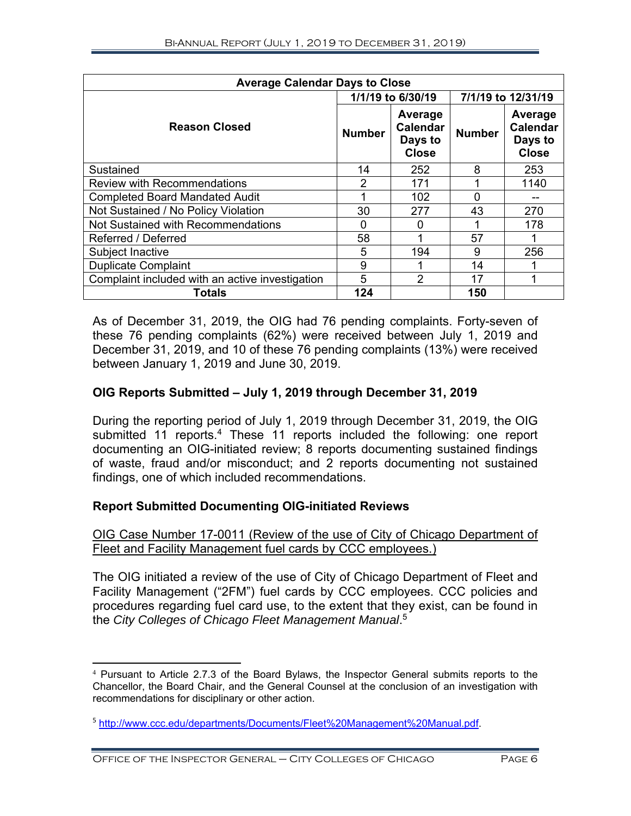| <b>Average Calendar Days to Close</b>           |                   |                                                       |                    |                                                       |  |
|-------------------------------------------------|-------------------|-------------------------------------------------------|--------------------|-------------------------------------------------------|--|
|                                                 | 1/1/19 to 6/30/19 |                                                       | 7/1/19 to 12/31/19 |                                                       |  |
| <b>Reason Closed</b>                            | <b>Number</b>     | Average<br><b>Calendar</b><br>Days to<br><b>Close</b> | <b>Number</b>      | Average<br><b>Calendar</b><br>Days to<br><b>Close</b> |  |
| Sustained                                       | 14                | 252                                                   | 8                  | 253                                                   |  |
| <b>Review with Recommendations</b>              | 2                 | 171                                                   |                    | 1140                                                  |  |
| <b>Completed Board Mandated Audit</b>           |                   | 102                                                   |                    |                                                       |  |
| Not Sustained / No Policy Violation             | 30                | 277                                                   | 43                 | 270                                                   |  |
| Not Sustained with Recommendations              | 0                 | 0                                                     |                    | 178                                                   |  |
| Referred / Deferred                             | 58                | 1                                                     | 57                 |                                                       |  |
| Subject Inactive                                | 5                 | 194                                                   | 9                  | 256                                                   |  |
| <b>Duplicate Complaint</b>                      | 9                 | 1                                                     | 14                 |                                                       |  |
| Complaint included with an active investigation | 5                 | $\overline{2}$                                        | 17                 |                                                       |  |
| Totals                                          | 124               |                                                       | 150                |                                                       |  |

As of December 31, 2019, the OIG had 76 pending complaints. Forty-seven of these 76 pending complaints (62%) were received between July 1, 2019 and December 31, 2019, and 10 of these 76 pending complaints (13%) were received between January 1, 2019 and June 30, 2019.

# **OIG Reports Submitted – July 1, 2019 through December 31, 2019**

During the reporting period of July 1, 2019 through December 31, 2019, the OIG submitted 11 reports.<sup>4</sup> These 11 reports included the following: one report documenting an OIG-initiated review; 8 reports documenting sustained findings of waste, fraud and/or misconduct; and 2 reports documenting not sustained findings, one of which included recommendations.

# **Report Submitted Documenting OIG-initiated Reviews**

# OIG Case Number 17-0011 (Review of the use of City of Chicago Department of Fleet and Facility Management fuel cards by CCC employees.)

The OIG initiated a review of the use of City of Chicago Department of Fleet and Facility Management ("2FM") fuel cards by CCC employees. CCC policies and procedures regarding fuel card use, to the extent that they exist, can be found in the *City Colleges of Chicago Fleet Management Manual*. 5

 $\overline{a}$ 4 Pursuant to Article 2.7.3 of the Board Bylaws, the Inspector General submits reports to the Chancellor, the Board Chair, and the General Counsel at the conclusion of an investigation with recommendations for disciplinary or other action.

<sup>5</sup> http://www.ccc.edu/departments/Documents/Fleet%20Management%20Manual.pdf.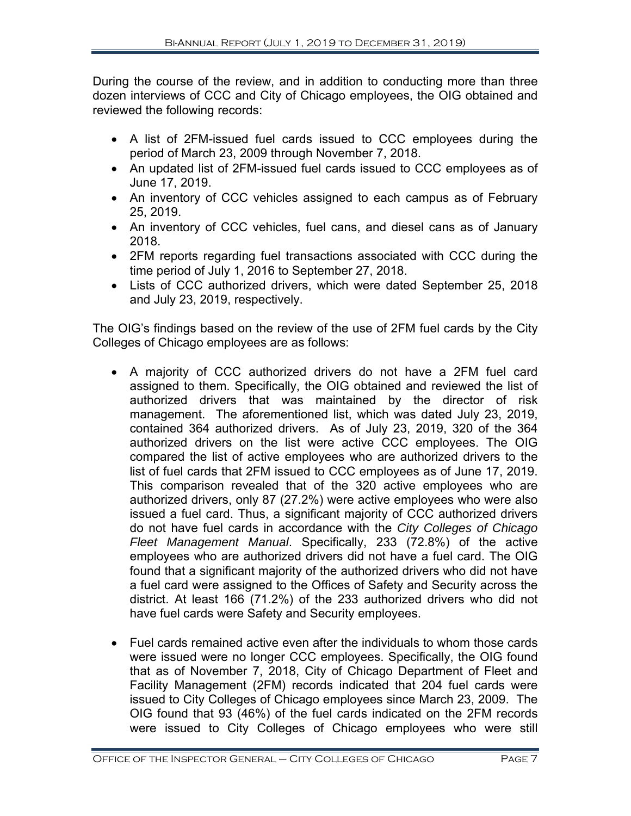During the course of the review, and in addition to conducting more than three dozen interviews of CCC and City of Chicago employees, the OIG obtained and reviewed the following records:

- A list of 2FM-issued fuel cards issued to CCC employees during the period of March 23, 2009 through November 7, 2018.
- An updated list of 2FM-issued fuel cards issued to CCC employees as of June 17, 2019.
- An inventory of CCC vehicles assigned to each campus as of February 25, 2019.
- An inventory of CCC vehicles, fuel cans, and diesel cans as of January 2018.
- 2FM reports regarding fuel transactions associated with CCC during the time period of July 1, 2016 to September 27, 2018.
- Lists of CCC authorized drivers, which were dated September 25, 2018 and July 23, 2019, respectively.

The OIG's findings based on the review of the use of 2FM fuel cards by the City Colleges of Chicago employees are as follows:

- A majority of CCC authorized drivers do not have a 2FM fuel card assigned to them. Specifically, the OIG obtained and reviewed the list of authorized drivers that was maintained by the director of risk management. The aforementioned list, which was dated July 23, 2019, contained 364 authorized drivers. As of July 23, 2019, 320 of the 364 authorized drivers on the list were active CCC employees. The OIG compared the list of active employees who are authorized drivers to the list of fuel cards that 2FM issued to CCC employees as of June 17, 2019. This comparison revealed that of the 320 active employees who are authorized drivers, only 87 (27.2%) were active employees who were also issued a fuel card. Thus, a significant majority of CCC authorized drivers do not have fuel cards in accordance with the *City Colleges of Chicago Fleet Management Manual*. Specifically, 233 (72.8%) of the active employees who are authorized drivers did not have a fuel card. The OIG found that a significant majority of the authorized drivers who did not have a fuel card were assigned to the Offices of Safety and Security across the district. At least 166 (71.2%) of the 233 authorized drivers who did not have fuel cards were Safety and Security employees.
- Fuel cards remained active even after the individuals to whom those cards were issued were no longer CCC employees. Specifically, the OIG found that as of November 7, 2018, City of Chicago Department of Fleet and Facility Management (2FM) records indicated that 204 fuel cards were issued to City Colleges of Chicago employees since March 23, 2009. The OIG found that 93 (46%) of the fuel cards indicated on the 2FM records were issued to City Colleges of Chicago employees who were still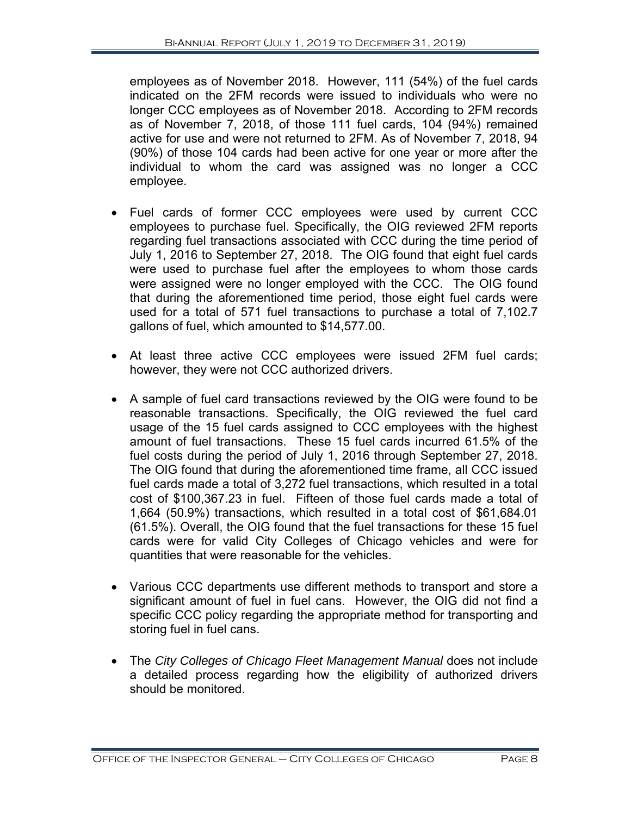employees as of November 2018. However, 111 (54%) of the fuel cards indicated on the 2FM records were issued to individuals who were no longer CCC employees as of November 2018. According to 2FM records as of November 7, 2018, of those 111 fuel cards, 104 (94%) remained active for use and were not returned to 2FM. As of November 7, 2018, 94 (90%) of those 104 cards had been active for one year or more after the individual to whom the card was assigned was no longer a CCC employee.

- Fuel cards of former CCC employees were used by current CCC employees to purchase fuel. Specifically, the OIG reviewed 2FM reports regarding fuel transactions associated with CCC during the time period of July 1, 2016 to September 27, 2018. The OIG found that eight fuel cards were used to purchase fuel after the employees to whom those cards were assigned were no longer employed with the CCC. The OIG found that during the aforementioned time period, those eight fuel cards were used for a total of 571 fuel transactions to purchase a total of 7,102.7 gallons of fuel, which amounted to \$14,577.00.
- At least three active CCC employees were issued 2FM fuel cards; however, they were not CCC authorized drivers.
- A sample of fuel card transactions reviewed by the OIG were found to be reasonable transactions. Specifically, the OIG reviewed the fuel card usage of the 15 fuel cards assigned to CCC employees with the highest amount of fuel transactions. These 15 fuel cards incurred 61.5% of the fuel costs during the period of July 1, 2016 through September 27, 2018. The OIG found that during the aforementioned time frame, all CCC issued fuel cards made a total of 3,272 fuel transactions, which resulted in a total cost of \$100,367.23 in fuel. Fifteen of those fuel cards made a total of 1,664 (50.9%) transactions, which resulted in a total cost of \$61,684.01 (61.5%). Overall, the OIG found that the fuel transactions for these 15 fuel cards were for valid City Colleges of Chicago vehicles and were for quantities that were reasonable for the vehicles.
- Various CCC departments use different methods to transport and store a significant amount of fuel in fuel cans. However, the OIG did not find a specific CCC policy regarding the appropriate method for transporting and storing fuel in fuel cans.
- The City Colleges of Chicago Fleet Management Manual does not include a detailed process regarding how the eligibility of authorized drivers should be monitored.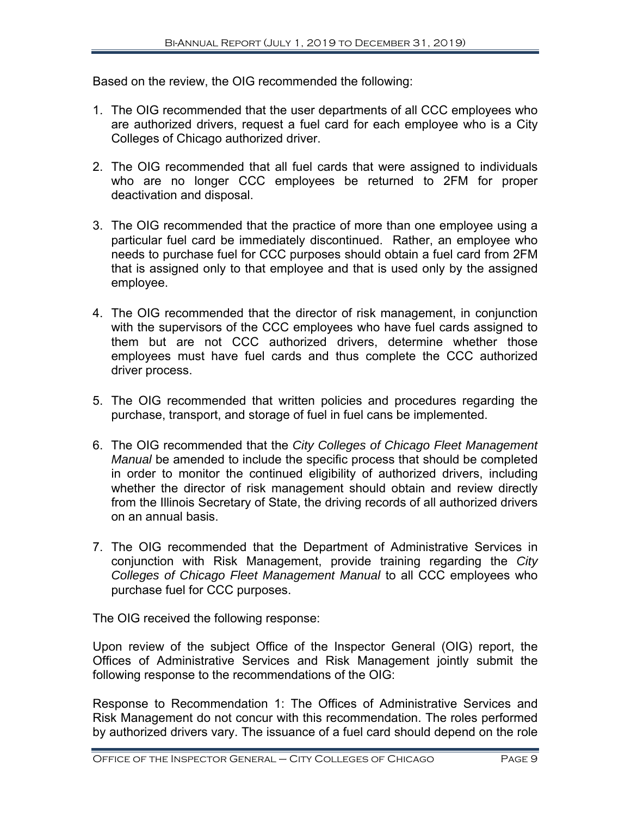Based on the review, the OIG recommended the following:

- 1. The OIG recommended that the user departments of all CCC employees who are authorized drivers, request a fuel card for each employee who is a City Colleges of Chicago authorized driver.
- 2. The OIG recommended that all fuel cards that were assigned to individuals who are no longer CCC employees be returned to 2FM for proper deactivation and disposal.
- 3. The OIG recommended that the practice of more than one employee using a particular fuel card be immediately discontinued. Rather, an employee who needs to purchase fuel for CCC purposes should obtain a fuel card from 2FM that is assigned only to that employee and that is used only by the assigned employee.
- 4. The OIG recommended that the director of risk management, in conjunction with the supervisors of the CCC employees who have fuel cards assigned to them but are not CCC authorized drivers, determine whether those employees must have fuel cards and thus complete the CCC authorized driver process.
- 5. The OIG recommended that written policies and procedures regarding the purchase, transport, and storage of fuel in fuel cans be implemented.
- 6. The OIG recommended that the *City Colleges of Chicago Fleet Management Manual* be amended to include the specific process that should be completed in order to monitor the continued eligibility of authorized drivers, including whether the director of risk management should obtain and review directly from the Illinois Secretary of State, the driving records of all authorized drivers on an annual basis.
- 7. The OIG recommended that the Department of Administrative Services in conjunction with Risk Management, provide training regarding the *City Colleges of Chicago Fleet Management Manual* to all CCC employees who purchase fuel for CCC purposes.

The OIG received the following response:

Upon review of the subject Office of the Inspector General (OIG) report, the Offices of Administrative Services and Risk Management jointly submit the following response to the recommendations of the OIG:

Response to Recommendation 1: The Offices of Administrative Services and Risk Management do not concur with this recommendation. The roles performed by authorized drivers vary. The issuance of a fuel card should depend on the role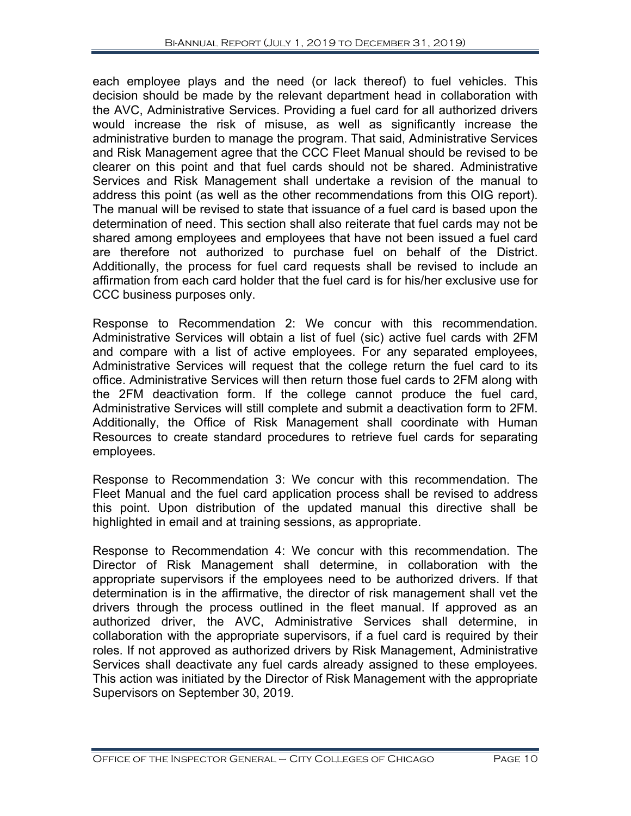each employee plays and the need (or lack thereof) to fuel vehicles. This decision should be made by the relevant department head in collaboration with the AVC, Administrative Services. Providing a fuel card for all authorized drivers would increase the risk of misuse, as well as significantly increase the administrative burden to manage the program. That said, Administrative Services and Risk Management agree that the CCC Fleet Manual should be revised to be clearer on this point and that fuel cards should not be shared. Administrative Services and Risk Management shall undertake a revision of the manual to address this point (as well as the other recommendations from this OIG report). The manual will be revised to state that issuance of a fuel card is based upon the determination of need. This section shall also reiterate that fuel cards may not be shared among employees and employees that have not been issued a fuel card are therefore not authorized to purchase fuel on behalf of the District. Additionally, the process for fuel card requests shall be revised to include an affirmation from each card holder that the fuel card is for his/her exclusive use for CCC business purposes only.

Response to Recommendation 2: We concur with this recommendation. Administrative Services will obtain a list of fuel (sic) active fuel cards with 2FM and compare with a list of active employees. For any separated employees, Administrative Services will request that the college return the fuel card to its office. Administrative Services will then return those fuel cards to 2FM along with the 2FM deactivation form. If the college cannot produce the fuel card, Administrative Services will still complete and submit a deactivation form to 2FM. Additionally, the Office of Risk Management shall coordinate with Human Resources to create standard procedures to retrieve fuel cards for separating employees.

Response to Recommendation 3: We concur with this recommendation. The Fleet Manual and the fuel card application process shall be revised to address this point. Upon distribution of the updated manual this directive shall be highlighted in email and at training sessions, as appropriate.

Response to Recommendation 4: We concur with this recommendation. The Director of Risk Management shall determine, in collaboration with the appropriate supervisors if the employees need to be authorized drivers. If that determination is in the affirmative, the director of risk management shall vet the drivers through the process outlined in the fleet manual. If approved as an authorized driver, the AVC, Administrative Services shall determine, in collaboration with the appropriate supervisors, if a fuel card is required by their roles. If not approved as authorized drivers by Risk Management, Administrative Services shall deactivate any fuel cards already assigned to these employees. This action was initiated by the Director of Risk Management with the appropriate Supervisors on September 30, 2019.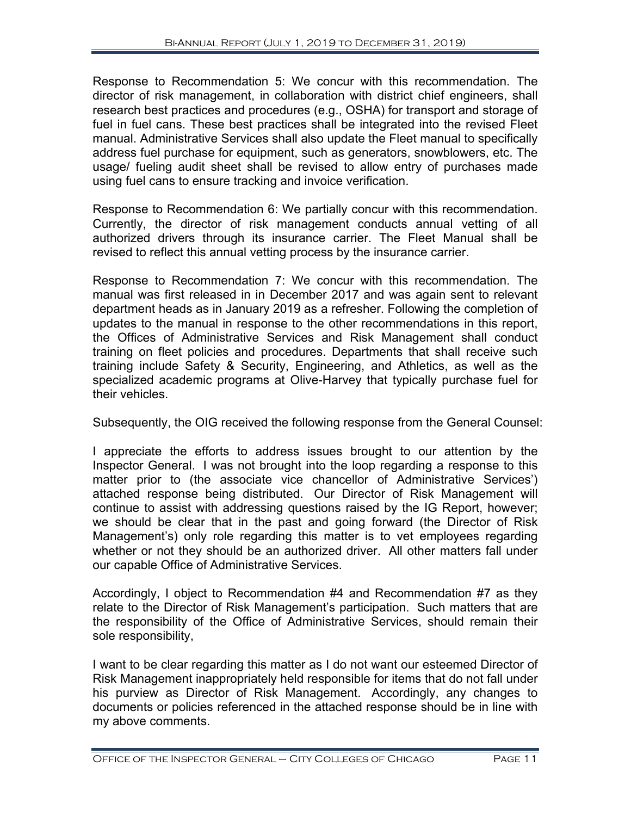Response to Recommendation 5: We concur with this recommendation. The director of risk management, in collaboration with district chief engineers, shall research best practices and procedures (e.g., OSHA) for transport and storage of fuel in fuel cans. These best practices shall be integrated into the revised Fleet manual. Administrative Services shall also update the Fleet manual to specifically address fuel purchase for equipment, such as generators, snowblowers, etc. The usage/ fueling audit sheet shall be revised to allow entry of purchases made using fuel cans to ensure tracking and invoice verification.

Response to Recommendation 6: We partially concur with this recommendation. Currently, the director of risk management conducts annual vetting of all authorized drivers through its insurance carrier. The Fleet Manual shall be revised to reflect this annual vetting process by the insurance carrier.

Response to Recommendation 7: We concur with this recommendation. The manual was first released in in December 2017 and was again sent to relevant department heads as in January 2019 as a refresher. Following the completion of updates to the manual in response to the other recommendations in this report, the Offices of Administrative Services and Risk Management shall conduct training on fleet policies and procedures. Departments that shall receive such training include Safety & Security, Engineering, and Athletics, as well as the specialized academic programs at Olive-Harvey that typically purchase fuel for their vehicles.

Subsequently, the OIG received the following response from the General Counsel:

I appreciate the efforts to address issues brought to our attention by the Inspector General. I was not brought into the loop regarding a response to this matter prior to (the associate vice chancellor of Administrative Services') attached response being distributed. Our Director of Risk Management will continue to assist with addressing questions raised by the IG Report, however; we should be clear that in the past and going forward (the Director of Risk Management's) only role regarding this matter is to vet employees regarding whether or not they should be an authorized driver. All other matters fall under our capable Office of Administrative Services.

Accordingly, I object to Recommendation #4 and Recommendation #7 as they relate to the Director of Risk Management's participation. Such matters that are the responsibility of the Office of Administrative Services, should remain their sole responsibility,

I want to be clear regarding this matter as I do not want our esteemed Director of Risk Management inappropriately held responsible for items that do not fall under his purview as Director of Risk Management. Accordingly, any changes to documents or policies referenced in the attached response should be in line with my above comments.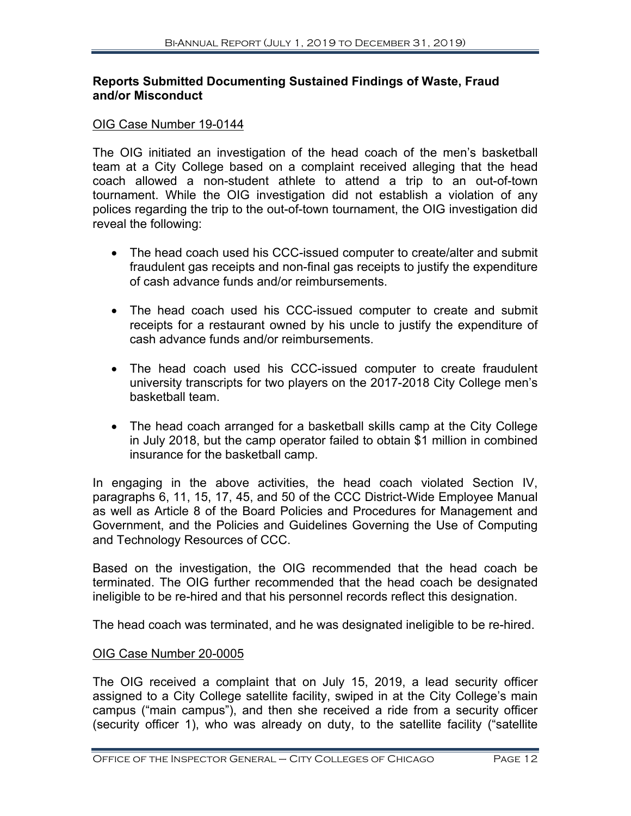# **Reports Submitted Documenting Sustained Findings of Waste, Fraud and/or Misconduct**

#### OIG Case Number 19-0144

The OIG initiated an investigation of the head coach of the men's basketball team at a City College based on a complaint received alleging that the head coach allowed a non-student athlete to attend a trip to an out-of-town tournament. While the OIG investigation did not establish a violation of any polices regarding the trip to the out-of-town tournament, the OIG investigation did reveal the following:

- The head coach used his CCC-issued computer to create/alter and submit fraudulent gas receipts and non-final gas receipts to justify the expenditure of cash advance funds and/or reimbursements.
- The head coach used his CCC-issued computer to create and submit receipts for a restaurant owned by his uncle to justify the expenditure of cash advance funds and/or reimbursements.
- The head coach used his CCC-issued computer to create fraudulent university transcripts for two players on the 2017-2018 City College men's basketball team.
- The head coach arranged for a basketball skills camp at the City College in July 2018, but the camp operator failed to obtain \$1 million in combined insurance for the basketball camp.

In engaging in the above activities, the head coach violated Section IV, paragraphs 6, 11, 15, 17, 45, and 50 of the CCC District-Wide Employee Manual as well as Article 8 of the Board Policies and Procedures for Management and Government, and the Policies and Guidelines Governing the Use of Computing and Technology Resources of CCC.

Based on the investigation, the OIG recommended that the head coach be terminated. The OIG further recommended that the head coach be designated ineligible to be re-hired and that his personnel records reflect this designation.

The head coach was terminated, and he was designated ineligible to be re-hired.

# OIG Case Number 20-0005

The OIG received a complaint that on July 15, 2019, a lead security officer assigned to a City College satellite facility, swiped in at the City College's main campus ("main campus"), and then she received a ride from a security officer (security officer 1), who was already on duty, to the satellite facility ("satellite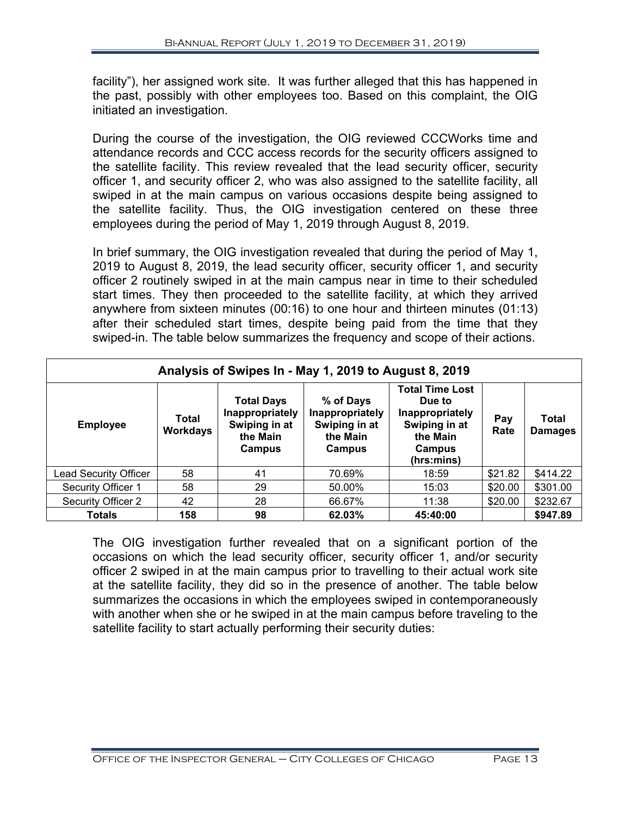facility"), her assigned work site. It was further alleged that this has happened in the past, possibly with other employees too. Based on this complaint, the OIG initiated an investigation.

During the course of the investigation, the OIG reviewed CCCWorks time and attendance records and CCC access records for the security officers assigned to the satellite facility. This review revealed that the lead security officer, security officer 1, and security officer 2, who was also assigned to the satellite facility, all swiped in at the main campus on various occasions despite being assigned to the satellite facility. Thus, the OIG investigation centered on these three employees during the period of May 1, 2019 through August 8, 2019.

In brief summary, the OIG investigation revealed that during the period of May 1, 2019 to August 8, 2019, the lead security officer, security officer 1, and security officer 2 routinely swiped in at the main campus near in time to their scheduled start times. They then proceeded to the satellite facility, at which they arrived anywhere from sixteen minutes (00:16) to one hour and thirteen minutes (01:13) after their scheduled start times, despite being paid from the time that they swiped-in. The table below summarizes the frequency and scope of their actions.

| Analysis of Swipes In - May 1, 2019 to August 8, 2019 |                          |                                                                             |                                                                     |                                                                                                          |             |                         |
|-------------------------------------------------------|--------------------------|-----------------------------------------------------------------------------|---------------------------------------------------------------------|----------------------------------------------------------------------------------------------------------|-------------|-------------------------|
| <b>Employee</b>                                       | Total<br><b>Workdays</b> | <b>Total Days</b><br>Inappropriately<br>Swiping in at<br>the Main<br>Campus | % of Days<br>Inappropriately<br>Swiping in at<br>the Main<br>Campus | <b>Total Time Lost</b><br>Due to<br>Inappropriately<br>Swiping in at<br>the Main<br>Campus<br>(hrs:mins) | Pay<br>Rate | Total<br><b>Damages</b> |
| Lead Security Officer                                 | 58                       | 41                                                                          | 70.69%                                                              | 18:59                                                                                                    | \$21.82     | \$414.22                |
| Security Officer 1                                    | 58                       | 29                                                                          | 50.00%                                                              | 15:03                                                                                                    | \$20.00     | \$301.00                |
| Security Officer 2                                    | 42                       | 28                                                                          | 66.67%                                                              | 11:38                                                                                                    | \$20.00     | \$232.67                |
| <b>Totals</b>                                         | 158                      | 98                                                                          | 62.03%                                                              | 45:40:00                                                                                                 |             | \$947.89                |

The OIG investigation further revealed that on a significant portion of the occasions on which the lead security officer, security officer 1, and/or security officer 2 swiped in at the main campus prior to travelling to their actual work site at the satellite facility, they did so in the presence of another. The table below summarizes the occasions in which the employees swiped in contemporaneously with another when she or he swiped in at the main campus before traveling to the satellite facility to start actually performing their security duties: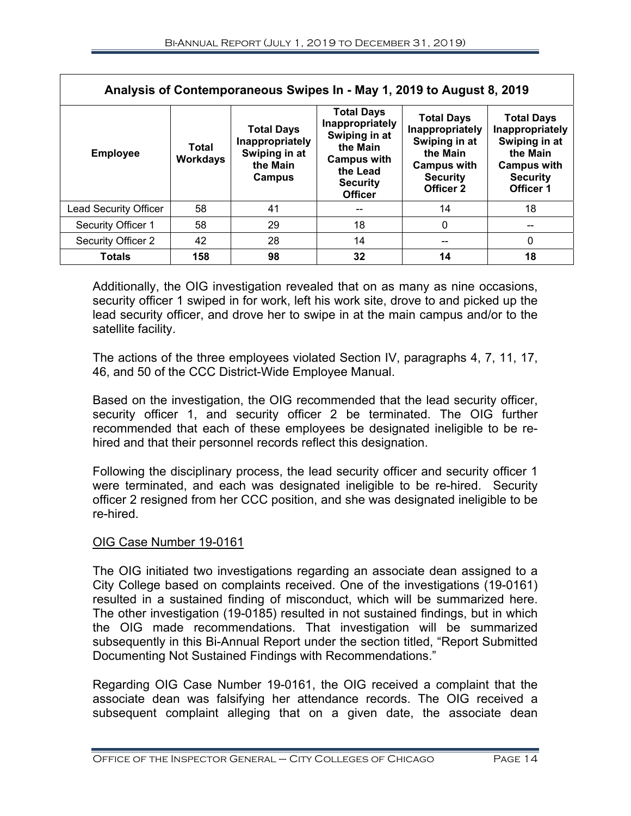| Analysis of Contemporaneous Swipes In - May 1, 2019 to August 8, 2019 |                          |                                                                             |                                                                                                                                          |                                                                                                                         |                                                                                                                         |
|-----------------------------------------------------------------------|--------------------------|-----------------------------------------------------------------------------|------------------------------------------------------------------------------------------------------------------------------------------|-------------------------------------------------------------------------------------------------------------------------|-------------------------------------------------------------------------------------------------------------------------|
| <b>Employee</b>                                                       | Total<br><b>Workdays</b> | <b>Total Days</b><br>Inappropriately<br>Swiping in at<br>the Main<br>Campus | <b>Total Days</b><br>Inappropriately<br>Swiping in at<br>the Main<br><b>Campus with</b><br>the Lead<br><b>Security</b><br><b>Officer</b> | <b>Total Days</b><br>Inappropriately<br>Swiping in at<br>the Main<br><b>Campus with</b><br><b>Security</b><br>Officer 2 | <b>Total Days</b><br>Inappropriately<br>Swiping in at<br>the Main<br><b>Campus with</b><br><b>Security</b><br>Officer 1 |
| <b>Lead Security Officer</b>                                          | 58                       | 41                                                                          |                                                                                                                                          | 14                                                                                                                      | 18                                                                                                                      |
| Security Officer 1                                                    | 58                       | 29                                                                          | 18                                                                                                                                       | $\mathbf{0}$                                                                                                            | --                                                                                                                      |
| Security Officer 2                                                    | 42                       | 28                                                                          | 14                                                                                                                                       | --                                                                                                                      | 0                                                                                                                       |
| <b>Totals</b>                                                         | 158                      | 98                                                                          | 32                                                                                                                                       | 14                                                                                                                      | 18                                                                                                                      |

Additionally, the OIG investigation revealed that on as many as nine occasions, security officer 1 swiped in for work, left his work site, drove to and picked up the lead security officer, and drove her to swipe in at the main campus and/or to the satellite facility.

The actions of the three employees violated Section IV, paragraphs 4, 7, 11, 17, 46, and 50 of the CCC District-Wide Employee Manual.

Based on the investigation, the OIG recommended that the lead security officer, security officer 1, and security officer 2 be terminated. The OIG further recommended that each of these employees be designated ineligible to be rehired and that their personnel records reflect this designation.

Following the disciplinary process, the lead security officer and security officer 1 were terminated, and each was designated ineligible to be re-hired. Security officer 2 resigned from her CCC position, and she was designated ineligible to be re-hired.

# OIG Case Number 19-0161

The OIG initiated two investigations regarding an associate dean assigned to a City College based on complaints received. One of the investigations (19-0161) resulted in a sustained finding of misconduct, which will be summarized here. The other investigation (19-0185) resulted in not sustained findings, but in which the OIG made recommendations. That investigation will be summarized subsequently in this Bi-Annual Report under the section titled, "Report Submitted Documenting Not Sustained Findings with Recommendations."

Regarding OIG Case Number 19-0161, the OIG received a complaint that the associate dean was falsifying her attendance records. The OIG received a subsequent complaint alleging that on a given date, the associate dean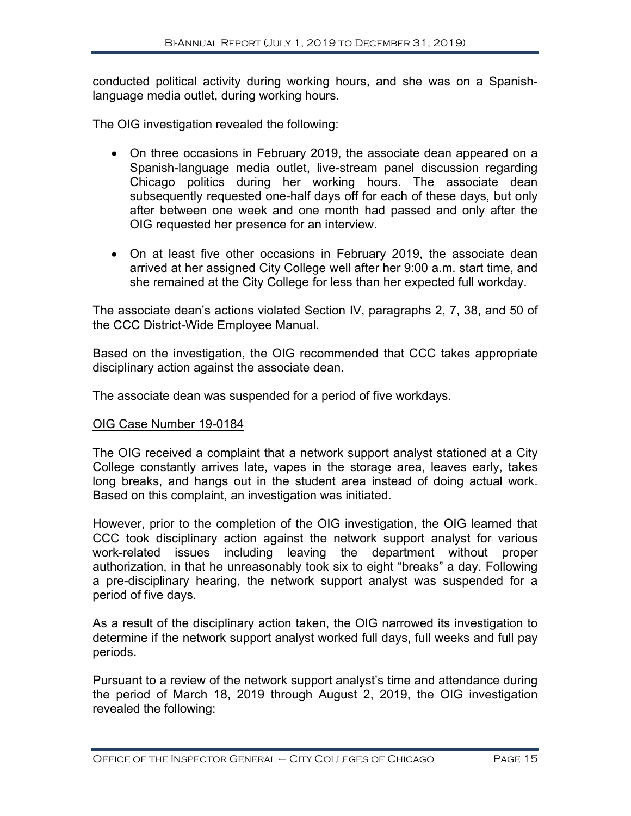conducted political activity during working hours, and she was on a Spanishlanguage media outlet, during working hours.

The OIG investigation revealed the following:

- On three occasions in February 2019, the associate dean appeared on a Spanish-language media outlet, live-stream panel discussion regarding Chicago politics during her working hours. The associate dean subsequently requested one-half days off for each of these days, but only after between one week and one month had passed and only after the OIG requested her presence for an interview.
- On at least five other occasions in February 2019, the associate dean arrived at her assigned City College well after her 9:00 a.m. start time, and she remained at the City College for less than her expected full workday.

The associate dean's actions violated Section IV, paragraphs 2, 7, 38, and 50 of the CCC District-Wide Employee Manual.

Based on the investigation, the OIG recommended that CCC takes appropriate disciplinary action against the associate dean.

The associate dean was suspended for a period of five workdays.

#### OIG Case Number 19-0184

The OIG received a complaint that a network support analyst stationed at a City College constantly arrives late, vapes in the storage area, leaves early, takes long breaks, and hangs out in the student area instead of doing actual work. Based on this complaint, an investigation was initiated.

However, prior to the completion of the OIG investigation, the OIG learned that CCC took disciplinary action against the network support analyst for various work-related issues including leaving the department without proper authorization, in that he unreasonably took six to eight "breaks" a day. Following a pre-disciplinary hearing, the network support analyst was suspended for a period of five days.

As a result of the disciplinary action taken, the OIG narrowed its investigation to determine if the network support analyst worked full days, full weeks and full pay periods.

Pursuant to a review of the network support analyst's time and attendance during the period of March 18, 2019 through August 2, 2019, the OIG investigation revealed the following: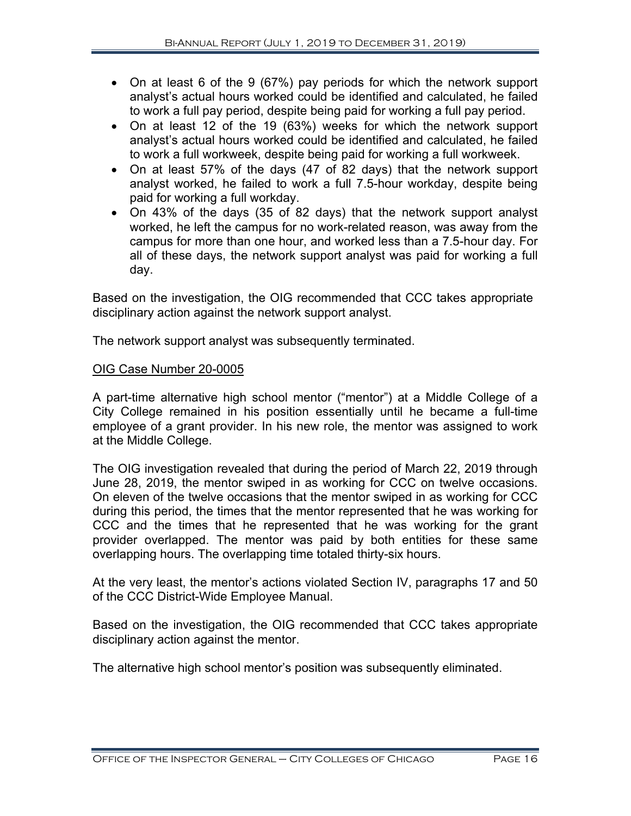- On at least 6 of the 9 (67%) pay periods for which the network support analyst's actual hours worked could be identified and calculated, he failed to work a full pay period, despite being paid for working a full pay period.
- On at least 12 of the 19 (63%) weeks for which the network support analyst's actual hours worked could be identified and calculated, he failed to work a full workweek, despite being paid for working a full workweek.
- On at least 57% of the days (47 of 82 days) that the network support analyst worked, he failed to work a full 7.5-hour workday, despite being paid for working a full workday.
- On 43% of the days (35 of 82 days) that the network support analyst worked, he left the campus for no work-related reason, was away from the campus for more than one hour, and worked less than a 7.5-hour day. For all of these days, the network support analyst was paid for working a full day.

Based on the investigation, the OIG recommended that CCC takes appropriate disciplinary action against the network support analyst.

The network support analyst was subsequently terminated.

# OIG Case Number 20-0005

A part-time alternative high school mentor ("mentor") at a Middle College of a City College remained in his position essentially until he became a full-time employee of a grant provider. In his new role, the mentor was assigned to work at the Middle College.

The OIG investigation revealed that during the period of March 22, 2019 through June 28, 2019, the mentor swiped in as working for CCC on twelve occasions. On eleven of the twelve occasions that the mentor swiped in as working for CCC during this period, the times that the mentor represented that he was working for CCC and the times that he represented that he was working for the grant provider overlapped. The mentor was paid by both entities for these same overlapping hours. The overlapping time totaled thirty-six hours.

At the very least, the mentor's actions violated Section IV, paragraphs 17 and 50 of the CCC District-Wide Employee Manual.

Based on the investigation, the OIG recommended that CCC takes appropriate disciplinary action against the mentor.

The alternative high school mentor's position was subsequently eliminated.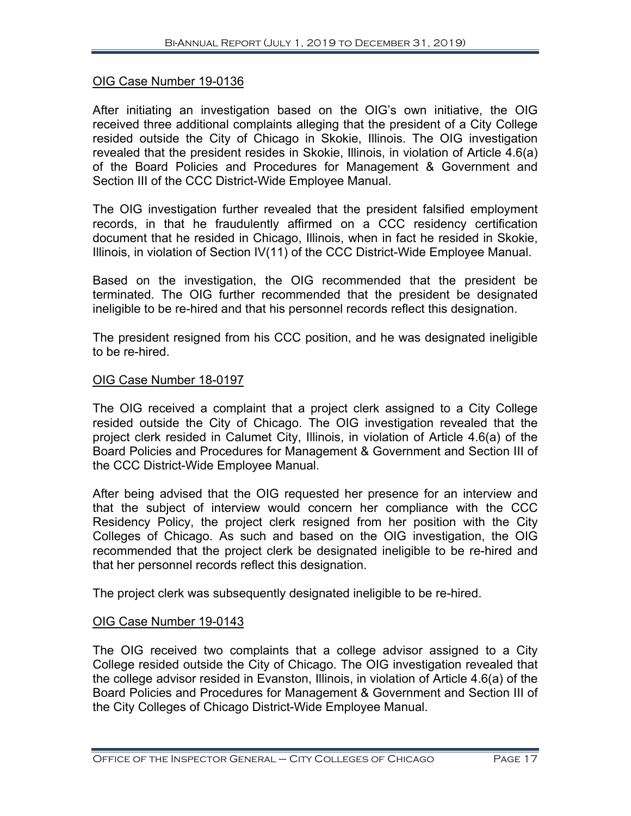# OIG Case Number 19-0136

After initiating an investigation based on the OIG's own initiative, the OIG received three additional complaints alleging that the president of a City College resided outside the City of Chicago in Skokie, Illinois. The OIG investigation revealed that the president resides in Skokie, Illinois, in violation of Article 4.6(a) of the Board Policies and Procedures for Management & Government and Section III of the CCC District-Wide Employee Manual.

The OIG investigation further revealed that the president falsified employment records, in that he fraudulently affirmed on a CCC residency certification document that he resided in Chicago, Illinois, when in fact he resided in Skokie, Illinois, in violation of Section IV(11) of the CCC District-Wide Employee Manual.

Based on the investigation, the OIG recommended that the president be terminated. The OIG further recommended that the president be designated ineligible to be re-hired and that his personnel records reflect this designation.

The president resigned from his CCC position, and he was designated ineligible to be re-hired.

# OIG Case Number 18-0197

The OIG received a complaint that a project clerk assigned to a City College resided outside the City of Chicago. The OIG investigation revealed that the project clerk resided in Calumet City, Illinois, in violation of Article 4.6(a) of the Board Policies and Procedures for Management & Government and Section III of the CCC District-Wide Employee Manual.

After being advised that the OIG requested her presence for an interview and that the subject of interview would concern her compliance with the CCC Residency Policy, the project clerk resigned from her position with the City Colleges of Chicago. As such and based on the OIG investigation, the OIG recommended that the project clerk be designated ineligible to be re-hired and that her personnel records reflect this designation.

The project clerk was subsequently designated ineligible to be re-hired.

# OIG Case Number 19-0143

The OIG received two complaints that a college advisor assigned to a City College resided outside the City of Chicago. The OIG investigation revealed that the college advisor resided in Evanston, Illinois, in violation of Article 4.6(a) of the Board Policies and Procedures for Management & Government and Section III of the City Colleges of Chicago District-Wide Employee Manual.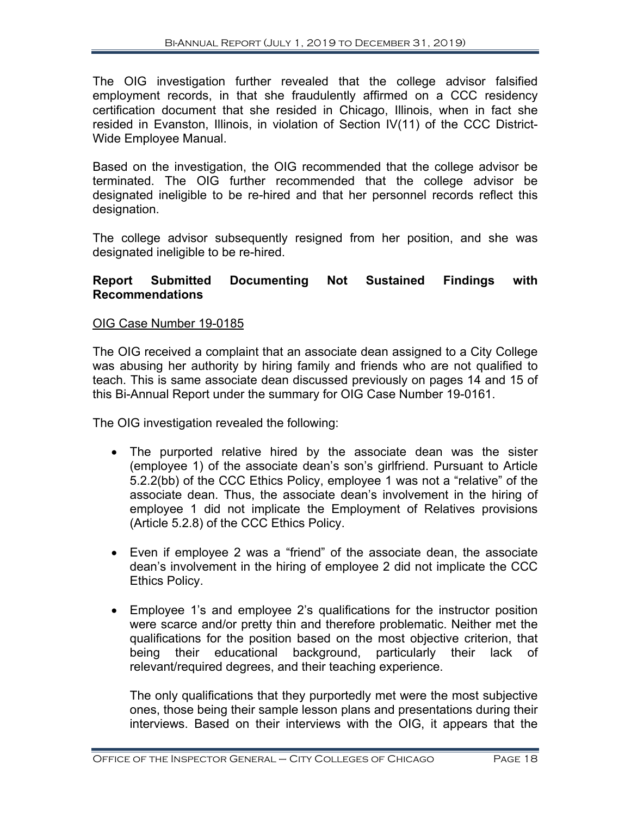The OIG investigation further revealed that the college advisor falsified employment records, in that she fraudulently affirmed on a CCC residency certification document that she resided in Chicago, Illinois, when in fact she resided in Evanston, Illinois, in violation of Section IV(11) of the CCC District-Wide Employee Manual.

Based on the investigation, the OIG recommended that the college advisor be terminated. The OIG further recommended that the college advisor be designated ineligible to be re-hired and that her personnel records reflect this designation.

The college advisor subsequently resigned from her position, and she was designated ineligible to be re-hired.

# **Report Submitted Documenting Not Sustained Findings with Recommendations**

# OIG Case Number 19-0185

The OIG received a complaint that an associate dean assigned to a City College was abusing her authority by hiring family and friends who are not qualified to teach. This is same associate dean discussed previously on pages 14 and 15 of this Bi-Annual Report under the summary for OIG Case Number 19-0161.

The OIG investigation revealed the following:

- The purported relative hired by the associate dean was the sister (employee 1) of the associate dean's son's girlfriend. Pursuant to Article 5.2.2(bb) of the CCC Ethics Policy, employee 1 was not a "relative" of the associate dean. Thus, the associate dean's involvement in the hiring of employee 1 did not implicate the Employment of Relatives provisions (Article 5.2.8) of the CCC Ethics Policy.
- Even if employee 2 was a "friend" of the associate dean, the associate dean's involvement in the hiring of employee 2 did not implicate the CCC Ethics Policy.
- Employee 1's and employee 2's qualifications for the instructor position were scarce and/or pretty thin and therefore problematic. Neither met the qualifications for the position based on the most objective criterion, that being their educational background, particularly their lack of relevant/required degrees, and their teaching experience.

The only qualifications that they purportedly met were the most subjective ones, those being their sample lesson plans and presentations during their interviews. Based on their interviews with the OIG, it appears that the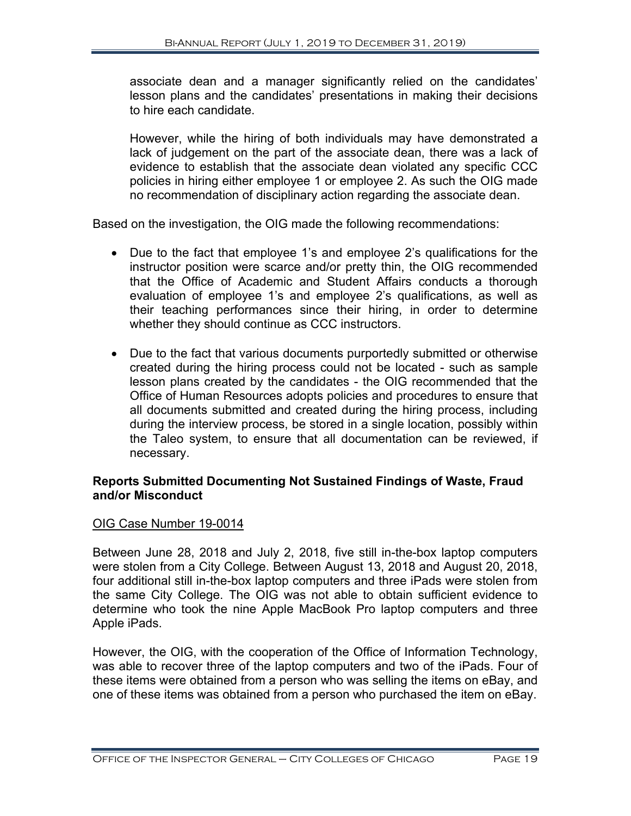associate dean and a manager significantly relied on the candidates' lesson plans and the candidates' presentations in making their decisions to hire each candidate.

However, while the hiring of both individuals may have demonstrated a lack of judgement on the part of the associate dean, there was a lack of evidence to establish that the associate dean violated any specific CCC policies in hiring either employee 1 or employee 2. As such the OIG made no recommendation of disciplinary action regarding the associate dean.

Based on the investigation, the OIG made the following recommendations:

- Due to the fact that employee 1's and employee 2's qualifications for the instructor position were scarce and/or pretty thin, the OIG recommended that the Office of Academic and Student Affairs conducts a thorough evaluation of employee 1's and employee 2's qualifications, as well as their teaching performances since their hiring, in order to determine whether they should continue as CCC instructors.
- Due to the fact that various documents purportedly submitted or otherwise created during the hiring process could not be located - such as sample lesson plans created by the candidates - the OIG recommended that the Office of Human Resources adopts policies and procedures to ensure that all documents submitted and created during the hiring process, including during the interview process, be stored in a single location, possibly within the Taleo system, to ensure that all documentation can be reviewed, if necessary.

# **Reports Submitted Documenting Not Sustained Findings of Waste, Fraud and/or Misconduct**

#### OIG Case Number 19-0014

Between June 28, 2018 and July 2, 2018, five still in-the-box laptop computers were stolen from a City College. Between August 13, 2018 and August 20, 2018, four additional still in-the-box laptop computers and three iPads were stolen from the same City College. The OIG was not able to obtain sufficient evidence to determine who took the nine Apple MacBook Pro laptop computers and three Apple iPads.

However, the OIG, with the cooperation of the Office of Information Technology, was able to recover three of the laptop computers and two of the iPads. Four of these items were obtained from a person who was selling the items on eBay, and one of these items was obtained from a person who purchased the item on eBay.